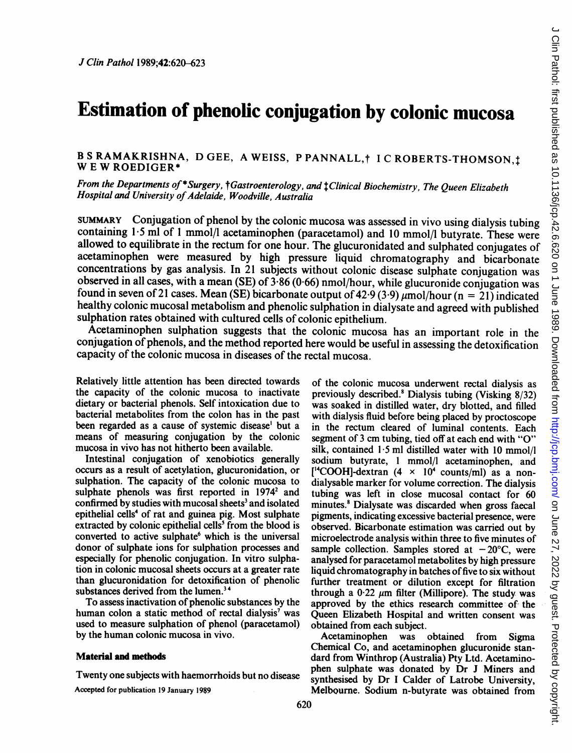# Estimation of phenolic conjugation by colonic mucosa

# B S RAMAKRISHNA, D GEE, A WEISS, P PANNALL, † I C ROBERTS-THOMSON.<sup>†</sup> W <sup>E</sup> W ROEDIGER\*

From the Departments of \*Surgery, tGastroenterology, and tClinical Biochemistry, The Queen Elizabeth Hospital and University of Adelaide, Woodville, Australia

SUMMARY Conjugation of phenol by the colonic mucosa was assessed in vivo using dialysis tubing containing 1.5 ml of 1 mmol/l acetaminophen (paracetamol) and 10 mmol/l butyrate. These were allowed to equilibrate in the rectum for one hour. The glucuronidated and sulphated conjugates of acetaminophen were measured by high pressure liquid chromatography and bicarbonate concentrations by gas analysis. In <sup>21</sup> subjects without colonic disease sulphate conjugation was observed in all cases, with a mean (SE) of 3-86 (0-66) nmol/hour, while glucuronide conjugation was found in seven of 21 cases. Mean (SE) bicarbonate output of 42.9 (3.9)  $\mu$ mol/hour (n = 21) indicated healthy colonic mucosal metabolism and phenolic sulphation in dialysate and agreed with published sulphation rates obtained with cultured cells of colonic epithelium.

Acetaminophen sulphation suggests that the colonic mucosa has an important role in the conjugation of phenols, and the method reported here would be useful in assessing the detoxification capacity of the colonic mucosa in diseases of the rectal mucosa.

Relatively little attention has been directed towards the capacity of the colonic mucosa to inactivate dietary or bacterial phenols. Self intoxication due to bacterial metabolites from the colon has in the past been regarded as a cause of systemic disease' but a means of measuring conjugation by the colonic mucosa in vivo has not hitherto been available.

Intestinal conjugation of xenobiotics generally occurs as a result of acetylation, glucuronidation, or sulphation. The capacity of the colonic mucosa to sulphate phenols was first reported in  $1974^2$  and confirmed by studies with mucosal sheets<sup>3</sup> and isolated epithelial cells<sup>4</sup> of rat and guinea pig. Most sulphate extracted by colonic epithelial cells' from the blood is converted to active sulphate<sup>6</sup> which is the universal donor of sulphate ions for sulphation processes and especially for phenolic conjugation. In vitro sulphation in colonic mucosal sheets occurs at a greater rate than glucuronidation for detoxification of phenolic substances derived from the lumen.<sup>34</sup>

To assess inactivation of phenolic substances by the human colon a static method of rectal dialysis' was used to measure sulphation of phenol (paracetamol) by the human colonic mucosa in vivo.

#### Material and methods

Twenty one subjects with haemorrhoids but no disease Accepted for publication 19 January 1989

of the colonic mucosa underwent rectal dialysis as previously described.8 Dialysis tubing (Visking 8/32) was soaked in distilled water, dry blotted, and filled with dialysis fluid before being placed by proctoscope in the rectum cleared of luminal contents. Each segment of <sup>3</sup> cm tubing, tied off at each end with "O" silk, contained  $1.5$  ml distilled water with 10 mmol/l sodium butyrate, <sup>1</sup> mmol/l acetaminophen, and  $[$ <sup>14</sup>COOH]-dextran (4  $\times$  10<sup>4</sup> counts/ml) as a nondialysable marker for volume correction. The dialysis tubing was left in close mucosal contact for 60 minutes.<sup>8</sup> Dialysate was discarded when gross faecal pigments, indicating excessive bacterial presence, were observed. Bicarbonate estimation was carried out by microelectrode analysis within three to five minutes of sample collection. Samples stored at  $-20^{\circ}$ C, were analysed for paracetamol metabolites by high pressure liquid chromatography in batches of five to six without further treatment or dilution except for filtration through a  $0.22 \mu m$  filter (Millipore). The study was approved by the ethics research committee of the Queen Elizabeth Hospital and written consent was obtained from each subject.

Acetaminophen was obtained from Sigma Chemical Co, and acetaminophen glucuronide standard from Winthrop (Australia) Pty Ltd. Acetaminophen sulphate was donated by Dr <sup>J</sup> Miners and synthesised by Dr <sup>I</sup> Calder of Latrobe University, Melbourne. Sodium n-butyrate was obtained from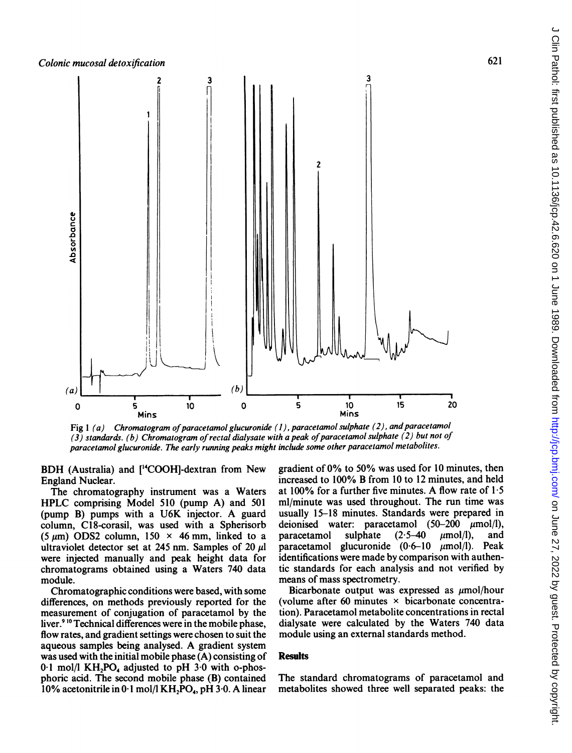

Fig  $1(a)$  Chromatogram of paracetamol glucuronide (1), paracetamol sulphate (2), and paracetamol  $(3)$  standards. (b) Chromatogram of rectal dialysate with a peak of paracetamol sulphate (2) but not of paracetamol glucuronide. The early running peaks might include some other paracetamol metabolites.

BDH (Australia) and [<sup>14</sup>COOH]-dextran from New England Nuclear.

The chromatography instrument was a Waters HPLC comprising Model <sup>510</sup> (pump A) and <sup>501</sup> (pump B) pumps with <sup>a</sup> U6K injector. A guard column, C18-corasil, was used with a Spherisorb (5  $\mu$ m) ODS2 column, 150  $\times$  46 mm, linked to a ultraviolet detector set at 245 nm. Samples of 20  $\mu$ l were injected manually and peak height data for chromatograms obtained using a Waters 740 data module.

Chromatographic conditions were based, with some differences, on methods previously reported for the measurement of conjugation of paracetamol by the liver.<sup>910</sup> Technical differences were in the mobile phase, flow rates, and gradient settings were chosen to suit the aqueous samples being analysed. A gradient system was used with the initial mobile phase (A) consisting of  $0.1$  mol/l KH<sub>2</sub>PO<sub>4</sub> adjusted to pH  $3.0$  with o-phosphoric acid. The second mobile phase (B) contained 10% acetonitrile in 0.1 mol/l  $KH<sub>2</sub>PO<sub>4</sub>$ , pH 3.0. A linear gradient of 0% to 50% was used for <sup>10</sup> minutes, then increased to 100% B from <sup>10</sup> to <sup>12</sup> minutes, and held at 100% for a further five minutes. A flow rate of  $1.5$ ml/minute was used throughout. The run time was usually 15-18 minutes. Standards were prepared in deionised water: paracetamol  $(50-200 \mu m o l/l)$ , paracetamol sulphate  $(2.5-40 \mu mol/l)$ , and paracetamol glucuronide  $(0.6-10 \mu m o1/l)$ . Peak identifications were made by comparison with authentic standards for each analysis and not verified by means of mass spectrometry.

Bicarbonate output was expressed as  $\mu$ mol/hour (volume after 60 minutes  $\times$  bicarbonate concentration). Paracetamol metabolite concentrations in rectal dialysate were calculated by the Waters 740 data module using an external standards method.

## **Results**

The standard chromatograms of paracetamol and metabolites showed three well separated peaks: the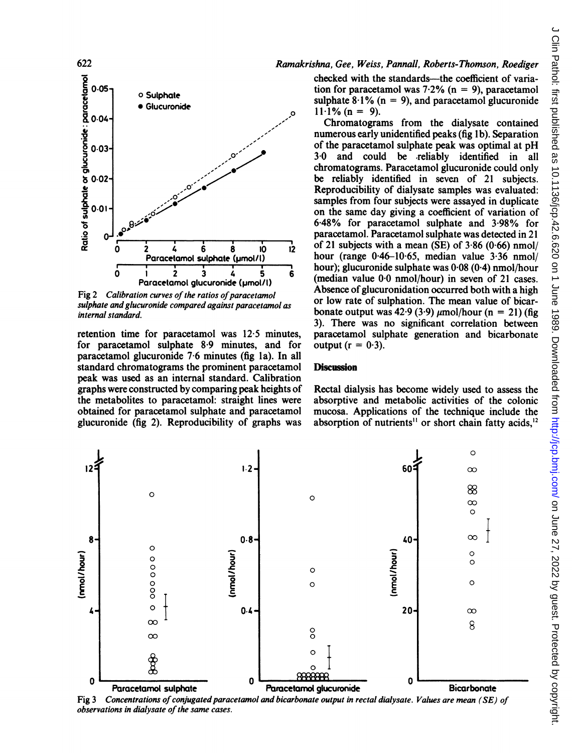

Fig 2 Calibration curves of the ratios of paracetamol sulphate and glucuronide compared against paracetamol as internal standard.

retention time for paracetamol was 12.5 minutes. for paracetamol sulphate 8.9 minutes, and for paracetamol glucuronide 7.6 minutes (fig 1a). In all standard chromatograms the prominent paracetamol peak was used as an internal standard. Calibration graphs were constructed by comparing peak heights of the metabolites to paracetamol: straight lines were obtained for paracetamol sulphate and paracetamol glucuronide (fig 2). Reproducibility of graphs was

### Ramakrishna, Gee, Weiss, Pannall, Roberts-Thomson, Roediger

checked with the standards—the coefficient of variation for paracetamol was 7.2% ( $n = 9$ ), paracetamol sulphate  $8.1\%$  (n = 9), and paracetamol glucuronide  $11.1\%$  (n = 9).

Chromatograms from the dialysate contained numerous early unidentified peaks (fig 1b). Separation of the paracetamol sulphate peak was optimal at pH 3.0 and could be reliably identified in all chromatograms. Paracetamol glucuronide could only be reliably identified in seven of 21 subjects. Reproducibility of dialysate samples was evaluated: samples from four subjects were assaved in duplicate on the same day giving a coefficient of variation of 6.48% for paracetamol sulphate and 3.98% for paracetamol. Paracetamol sulphate was detected in 21 of 21 subjects with a mean (SE) of  $3.86$  (0.66) nmol/ hour (range  $0.46-10.65$ , median value  $3.36$  nmol/ hour); glucuronide sulphate was 0.08 (0.4) nmol/hour (median value 0.0 nmol/hour) in seven of 21 cases. Absence of glucuronidation occurred both with a high or low rate of sulphation. The mean value of bicarbonate output was 42.9 (3.9)  $\mu$ mol/hour (n = 21) (fig 3). There was no significant correlation between paracetamol sulphate generation and bicarbonate output  $(r = 0.3)$ .

### **Discussion**

Rectal dialysis has become widely used to assess the absorptive and metabolic activities of the colonic mucosa. Applications of the technique include the absorption of nutrients<sup>11</sup> or short chain fatty acids,<sup>12</sup>



 $Fig 3$ Concentrations of conjugated paracetamol and bicarbonate output in rectal dialysate. Values are mean (SE) of observations in dialysate of the same cases.